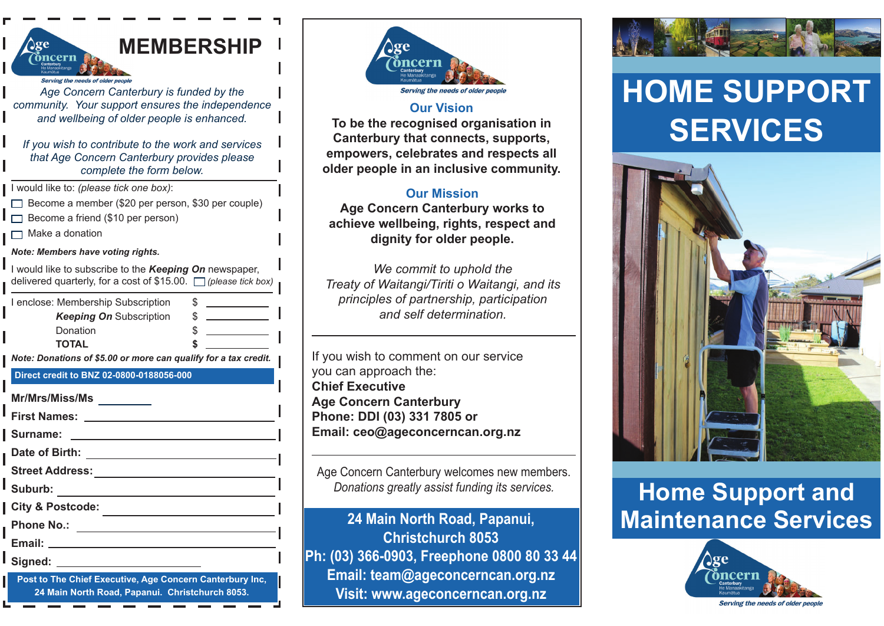| <b>MEMBERSHIP</b><br>$\alpha$                                                                                                 |
|-------------------------------------------------------------------------------------------------------------------------------|
| ıcern                                                                                                                         |
| Serving the needs of older people                                                                                             |
| Age Concern Canterbury is funded by the<br>community. Your support ensures the independence                                   |
| and wellbeing of older people is enhanced.                                                                                    |
| If you wish to contribute to the work and services<br>that Age Concern Canterbury provides please<br>complete the form below. |
| I would like to: (please tick one box):                                                                                       |
| Become a member (\$20 per person, \$30 per couple)                                                                            |
| Become a friend (\$10 per person)<br>Make a donation                                                                          |
| Note: Members have voting rights.                                                                                             |
| I would like to subscribe to the Keeping On newspaper,                                                                        |
| delivered quarterly, for a cost of \$15.00. $\Box$ (please tick box)                                                          |
| I enclose: Membership Subscription<br>S                                                                                       |
| <b>Keeping On Subscription</b><br>5                                                                                           |
| Donation<br>TOTAL                                                                                                             |
| Note: Donations of \$5.00 or more can qualify for a tax credit.                                                               |
| Direct credit to BNZ 02-0800-0188056-000                                                                                      |
| Mr/Mrs/Miss/Ms                                                                                                                |
| <b>First Names:</b>                                                                                                           |
| Surname:                                                                                                                      |
| Date of Birth:                                                                                                                |
| <b>Street Address:</b>                                                                                                        |
| U.<br>Suburb:                                                                                                                 |
| <b>City &amp; Postcode:</b>                                                                                                   |
| <b>Phone No.:</b><br><u> 1980 - Jan Samuel Barbara, poeta esp</u>                                                             |
| Email:                                                                                                                        |
| Signed:<br><u> 1989 - Andrea Stadt Britain, fransk politik (</u>                                                              |
| Post to The Chief Executive, Age Concern Canterbury Inc,                                                                      |

**24 Main North Road, Papanui. Christchurch 8053.**



#### **Our Vision**

**To be the recognised organisation in Canterbury that connects, supports, empowers, celebrates and respects all older people in an inclusive community.**

#### **Our Mission**

**Age Concern Canterbury works to achieve wellbeing, rights, respect and dignity for older people.**

*We commit to uphold the Treaty of Waitangi/Tiriti o Waitangi, and its principles of partnership, participation and self determination.*

If you wish to comment on our service you can approach the: **Chief ExecutiveAge Concern Canterbury Phone: DDI (03) 331 7805 or Email: ceo@ageconcerncan.org.nz**

Age Concern Canterbury welcomes new members. *Donations greatly assist funding its services.*

**24 Main North Road, Papanui, Christchurch 8053Ph: (03) 366-0903, Freephone 0800 80 33 44 Email: team@ageconcerncan.org.nz Visit: www.ageconcerncan.org.nz**



# **HOME SUPPORTSERVICES**



## **Home Support and Maintenance Services**